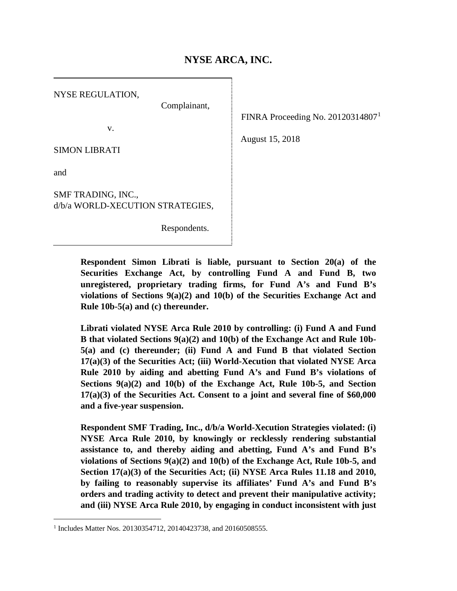# **NYSE ARCA, INC.**

NYSE REGULATION, Complainant, v. SIMON LIBRATI and SMF TRADING, INC., d/b/a WORLD-XECUTION STRATEGIES,

Respondents.

FINRA Proceeding No. 20120314807[1](#page-0-0)

August 15, 2018

**Respondent Simon Librati is liable, pursuant to Section 20(a) of the Securities Exchange Act, by controlling Fund A and Fund B, two unregistered, proprietary trading firms, for Fund A's and Fund B's violations of Sections 9(a)(2) and 10(b) of the Securities Exchange Act and Rule 10b-5(a) and (c) thereunder.**

**Librati violated NYSE Arca Rule 2010 by controlling: (i) Fund A and Fund B that violated Sections 9(a)(2) and 10(b) of the Exchange Act and Rule 10b-5(a) and (c) thereunder; (ii) Fund A and Fund B that violated Section 17(a)(3) of the Securities Act; (iii) World-Xecution that violated NYSE Arca Rule 2010 by aiding and abetting Fund A's and Fund B's violations of Sections 9(a)(2) and 10(b) of the Exchange Act, Rule 10b-5, and Section 17(a)(3) of the Securities Act. Consent to a joint and several fine of \$60,000 and a five-year suspension.**

**Respondent SMF Trading, Inc., d/b/a World-Xecution Strategies violated: (i) NYSE Arca Rule 2010, by knowingly or recklessly rendering substantial assistance to, and thereby aiding and abetting, Fund A's and Fund B's violations of Sections 9(a)(2) and 10(b) of the Exchange Act, Rule 10b-5, and Section 17(a)(3) of the Securities Act; (ii) NYSE Arca Rules 11.18 and 2010, by failing to reasonably supervise its affiliates' Fund A's and Fund B's orders and trading activity to detect and prevent their manipulative activity; and (iii) NYSE Arca Rule 2010, by engaging in conduct inconsistent with just** 

<span id="page-0-0"></span><sup>&</sup>lt;sup>1</sup> Includes Matter Nos. 20130354712, 20140423738, and 20160508555.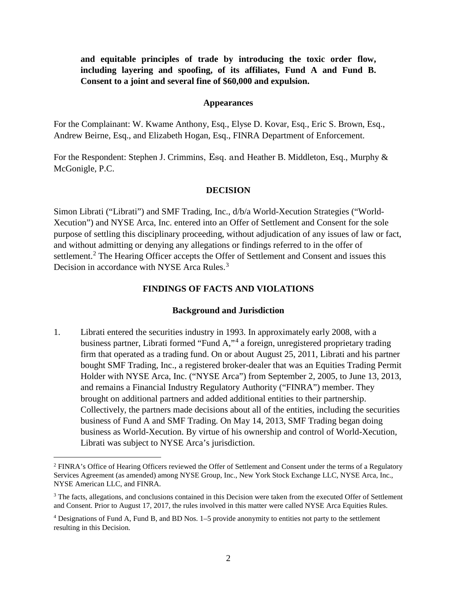**and equitable principles of trade by introducing the toxic order flow, including layering and spoofing, of its affiliates, Fund A and Fund B. Consent to a joint and several fine of \$60,000 and expulsion.**

#### **Appearances**

For the Complainant: W. Kwame Anthony, Esq., Elyse D. Kovar, Esq., Eric S. Brown, Esq., Andrew Beirne, Esq., and Elizabeth Hogan, Esq., FINRA Department of Enforcement.

For the Respondent: Stephen J. Crimmins, Esq. and Heather B. Middleton, Esq., Murphy & McGonigle, P.C.

#### **DECISION**

Simon Librati ("Librati") and SMF Trading, Inc., d/b/a World-Xecution Strategies ("World-Xecution") and NYSE Arca, Inc. entered into an Offer of Settlement and Consent for the sole purpose of settling this disciplinary proceeding, without adjudication of any issues of law or fact, and without admitting or denying any allegations or findings referred to in the offer of settlement.<sup>[2](#page-1-0)</sup> The Hearing Officer accepts the Offer of Settlement and Consent and issues this Decision in accordance with NYSE Arca Rules.<sup>[3](#page-1-1)</sup>

### **FINDINGS OF FACTS AND VIOLATIONS**

### **Background and Jurisdiction**

1. Librati entered the securities industry in 1993. In approximately early 2008, with a business partner, Librati formed "Fund A,"[4](#page-1-2) a foreign, unregistered proprietary trading firm that operated as a trading fund. On or about August 25, 2011, Librati and his partner bought SMF Trading, Inc., a registered broker-dealer that was an Equities Trading Permit Holder with NYSE Arca, Inc. ("NYSE Arca") from September 2, 2005, to June 13, 2013, and remains a Financial Industry Regulatory Authority ("FINRA") member. They brought on additional partners and added additional entities to their partnership. Collectively, the partners made decisions about all of the entities, including the securities business of Fund A and SMF Trading. On May 14, 2013, SMF Trading began doing business as World-Xecution. By virtue of his ownership and control of World-Xecution, Librati was subject to NYSE Arca's jurisdiction.

<span id="page-1-0"></span> <sup>2</sup> FINRA's Office of Hearing Officers reviewed the Offer of Settlement and Consent under the terms of a Regulatory Services Agreement (as amended) among NYSE Group, Inc., New York Stock Exchange LLC, NYSE Arca, Inc., NYSE American LLC, and FINRA.

<span id="page-1-1"></span><sup>&</sup>lt;sup>3</sup> The facts, allegations, and conclusions contained in this Decision were taken from the executed Offer of Settlement and Consent. Prior to August 17, 2017, the rules involved in this matter were called NYSE Arca Equities Rules.

<span id="page-1-2"></span><sup>4</sup> Designations of Fund A, Fund B, and BD Nos. 1–5 provide anonymity to entities not party to the settlement resulting in this Decision.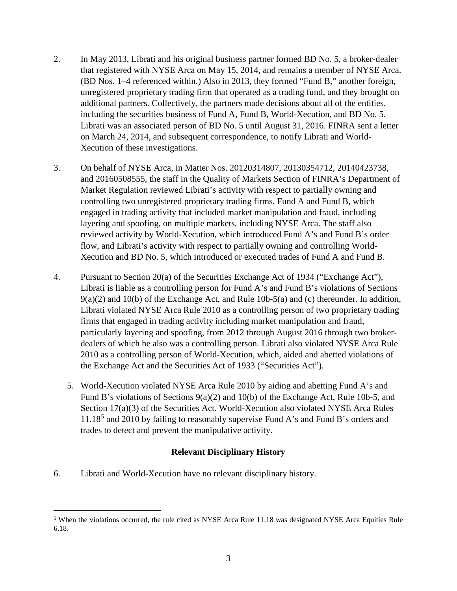- 2. In May 2013, Librati and his original business partner formed BD No. 5, a broker-dealer that registered with NYSE Arca on May 15, 2014, and remains a member of NYSE Arca. (BD Nos. 1–4 referenced within.) Also in 2013, they formed "Fund B," another foreign, unregistered proprietary trading firm that operated as a trading fund, and they brought on additional partners. Collectively, the partners made decisions about all of the entities, including the securities business of Fund A, Fund B, World-Xecution, and BD No. 5. Librati was an associated person of BD No. 5 until August 31, 2016. FINRA sent a letter on March 24, 2014, and subsequent correspondence, to notify Librati and World-Xecution of these investigations.
- 3. On behalf of NYSE Arca, in Matter Nos. 20120314807, 20130354712, 20140423738, and 20160508555, the staff in the Quality of Markets Section of FINRA's Department of Market Regulation reviewed Librati's activity with respect to partially owning and controlling two unregistered proprietary trading firms, Fund A and Fund B, which engaged in trading activity that included market manipulation and fraud, including layering and spoofing, on multiple markets, including NYSE Arca. The staff also reviewed activity by World-Xecution, which introduced Fund A's and Fund B's order flow, and Librati's activity with respect to partially owning and controlling World-Xecution and BD No. 5, which introduced or executed trades of Fund A and Fund B.
- 4. Pursuant to Section 20(a) of the Securities Exchange Act of 1934 ("Exchange Act"), Librati is liable as a controlling person for Fund A's and Fund B's violations of Sections  $9(a)(2)$  and  $10(b)$  of the Exchange Act, and Rule  $10b-5(a)$  and (c) thereunder. In addition, Librati violated NYSE Arca Rule 2010 as a controlling person of two proprietary trading firms that engaged in trading activity including market manipulation and fraud, particularly layering and spoofing, from 2012 through August 2016 through two brokerdealers of which he also was a controlling person. Librati also violated NYSE Arca Rule 2010 as a controlling person of World-Xecution, which, aided and abetted violations of the Exchange Act and the Securities Act of 1933 ("Securities Act").
	- 5. World-Xecution violated NYSE Arca Rule 2010 by aiding and abetting Fund A's and Fund B's violations of Sections 9(a)(2) and 10(b) of the Exchange Act, Rule 10b-5, and Section 17(a)(3) of the Securities Act. World-Xecution also violated NYSE Arca Rules 11.18[5](#page-2-0) and 2010 by failing to reasonably supervise Fund A's and Fund B's orders and trades to detect and prevent the manipulative activity.

# **Relevant Disciplinary History**

6. Librati and World-Xecution have no relevant disciplinary history.

<span id="page-2-0"></span> <sup>5</sup> When the violations occurred, the rule cited as NYSE Arca Rule 11.18 was designated NYSE Arca Equities Rule 6.18.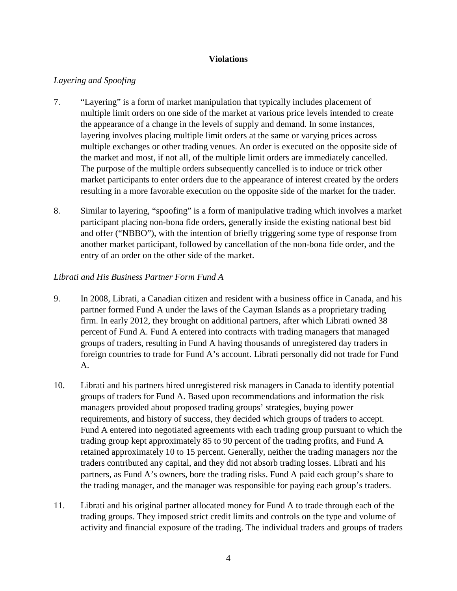### **Violations**

## *Layering and Spoofing*

- 7. "Layering" is a form of market manipulation that typically includes placement of multiple limit orders on one side of the market at various price levels intended to create the appearance of a change in the levels of supply and demand. In some instances, layering involves placing multiple limit orders at the same or varying prices across multiple exchanges or other trading venues. An order is executed on the opposite side of the market and most, if not all, of the multiple limit orders are immediately cancelled. The purpose of the multiple orders subsequently cancelled is to induce or trick other market participants to enter orders due to the appearance of interest created by the orders resulting in a more favorable execution on the opposite side of the market for the trader.
- 8. Similar to layering, "spoofing" is a form of manipulative trading which involves a market participant placing non-bona fide orders, generally inside the existing national best bid and offer ("NBBO"), with the intention of briefly triggering some type of response from another market participant, followed by cancellation of the non-bona fide order, and the entry of an order on the other side of the market.

## *Librati and His Business Partner Form Fund A*

- 9. In 2008, Librati, a Canadian citizen and resident with a business office in Canada, and his partner formed Fund A under the laws of the Cayman Islands as a proprietary trading firm. In early 2012, they brought on additional partners, after which Librati owned 38 percent of Fund A. Fund A entered into contracts with trading managers that managed groups of traders, resulting in Fund A having thousands of unregistered day traders in foreign countries to trade for Fund A's account. Librati personally did not trade for Fund A.
- 10. Librati and his partners hired unregistered risk managers in Canada to identify potential groups of traders for Fund A. Based upon recommendations and information the risk managers provided about proposed trading groups' strategies, buying power requirements, and history of success, they decided which groups of traders to accept. Fund A entered into negotiated agreements with each trading group pursuant to which the trading group kept approximately 85 to 90 percent of the trading profits, and Fund A retained approximately 10 to 15 percent. Generally, neither the trading managers nor the traders contributed any capital, and they did not absorb trading losses. Librati and his partners, as Fund A's owners, bore the trading risks. Fund A paid each group's share to the trading manager, and the manager was responsible for paying each group's traders.
- 11. Librati and his original partner allocated money for Fund A to trade through each of the trading groups. They imposed strict credit limits and controls on the type and volume of activity and financial exposure of the trading. The individual traders and groups of traders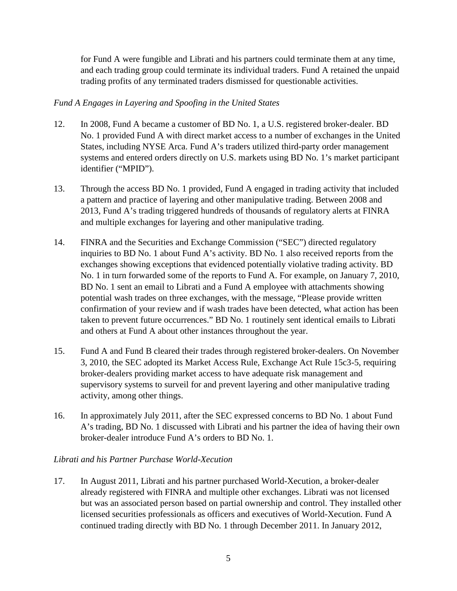for Fund A were fungible and Librati and his partners could terminate them at any time, and each trading group could terminate its individual traders. Fund A retained the unpaid trading profits of any terminated traders dismissed for questionable activities.

## *Fund A Engages in Layering and Spoofing in the United States*

- 12. In 2008, Fund A became a customer of BD No. 1, a U.S. registered broker-dealer. BD No. 1 provided Fund A with direct market access to a number of exchanges in the United States, including NYSE Arca. Fund A's traders utilized third-party order management systems and entered orders directly on U.S. markets using BD No. 1's market participant identifier ("MPID").
- 13. Through the access BD No. 1 provided, Fund A engaged in trading activity that included a pattern and practice of layering and other manipulative trading. Between 2008 and 2013, Fund A's trading triggered hundreds of thousands of regulatory alerts at FINRA and multiple exchanges for layering and other manipulative trading.
- 14. FINRA and the Securities and Exchange Commission ("SEC") directed regulatory inquiries to BD No. 1 about Fund A's activity. BD No. 1 also received reports from the exchanges showing exceptions that evidenced potentially violative trading activity. BD No. 1 in turn forwarded some of the reports to Fund A. For example, on January 7, 2010, BD No. 1 sent an email to Librati and a Fund A employee with attachments showing potential wash trades on three exchanges, with the message, "Please provide written confirmation of your review and if wash trades have been detected, what action has been taken to prevent future occurrences." BD No. 1 routinely sent identical emails to Librati and others at Fund A about other instances throughout the year.
- 15. Fund A and Fund B cleared their trades through registered broker-dealers. On November 3, 2010, the SEC adopted its Market Access Rule, Exchange Act Rule 15c3-5, requiring broker-dealers providing market access to have adequate risk management and supervisory systems to surveil for and prevent layering and other manipulative trading activity, among other things.
- 16. In approximately July 2011, after the SEC expressed concerns to BD No. 1 about Fund A's trading, BD No. 1 discussed with Librati and his partner the idea of having their own broker-dealer introduce Fund A's orders to BD No. 1.

# *Librati and his Partner Purchase World-Xecution*

17. In August 2011, Librati and his partner purchased World-Xecution, a broker-dealer already registered with FINRA and multiple other exchanges. Librati was not licensed but was an associated person based on partial ownership and control. They installed other licensed securities professionals as officers and executives of World-Xecution. Fund A continued trading directly with BD No. 1 through December 2011. In January 2012,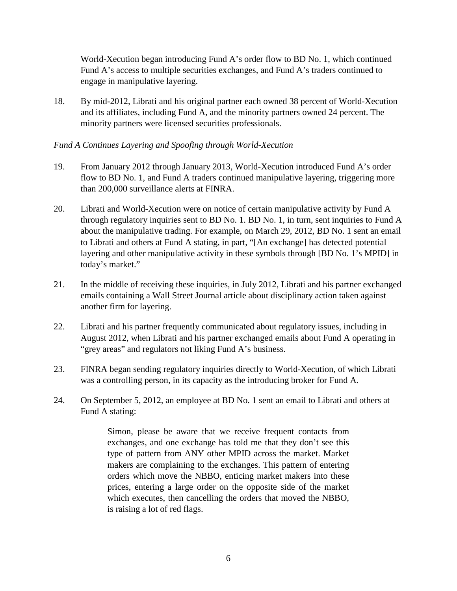World-Xecution began introducing Fund A's order flow to BD No. 1, which continued Fund A's access to multiple securities exchanges, and Fund A's traders continued to engage in manipulative layering.

18. By mid-2012, Librati and his original partner each owned 38 percent of World-Xecution and its affiliates, including Fund A, and the minority partners owned 24 percent. The minority partners were licensed securities professionals.

# *Fund A Continues Layering and Spoofing through World-Xecution*

- 19. From January 2012 through January 2013, World-Xecution introduced Fund A's order flow to BD No. 1, and Fund A traders continued manipulative layering, triggering more than 200,000 surveillance alerts at FINRA.
- 20. Librati and World-Xecution were on notice of certain manipulative activity by Fund A through regulatory inquiries sent to BD No. 1. BD No. 1, in turn, sent inquiries to Fund A about the manipulative trading. For example, on March 29, 2012, BD No. 1 sent an email to Librati and others at Fund A stating, in part, "[An exchange] has detected potential layering and other manipulative activity in these symbols through [BD No. 1's MPID] in today's market."
- 21. In the middle of receiving these inquiries, in July 2012, Librati and his partner exchanged emails containing a Wall Street Journal article about disciplinary action taken against another firm for layering.
- 22. Librati and his partner frequently communicated about regulatory issues, including in August 2012, when Librati and his partner exchanged emails about Fund A operating in "grey areas" and regulators not liking Fund A's business.
- 23. FINRA began sending regulatory inquiries directly to World-Xecution, of which Librati was a controlling person, in its capacity as the introducing broker for Fund A.
- 24. On September 5, 2012, an employee at BD No. 1 sent an email to Librati and others at Fund A stating:

Simon, please be aware that we receive frequent contacts from exchanges, and one exchange has told me that they don't see this type of pattern from ANY other MPID across the market. Market makers are complaining to the exchanges. This pattern of entering orders which move the NBBO, enticing market makers into these prices, entering a large order on the opposite side of the market which executes, then cancelling the orders that moved the NBBO, is raising a lot of red flags.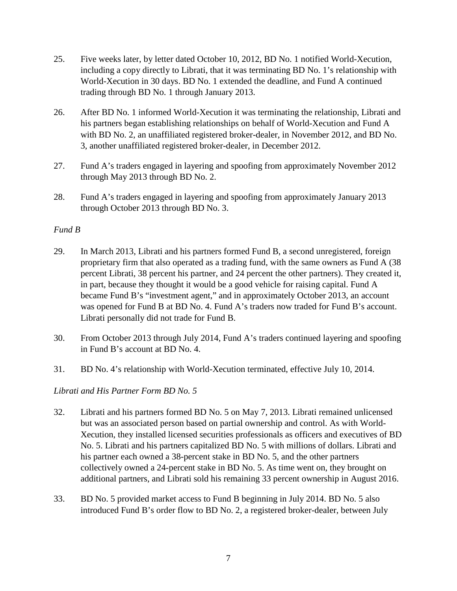- 25. Five weeks later, by letter dated October 10, 2012, BD No. 1 notified World-Xecution, including a copy directly to Librati, that it was terminating BD No. 1's relationship with World-Xecution in 30 days. BD No. 1 extended the deadline, and Fund A continued trading through BD No. 1 through January 2013.
- 26. After BD No. 1 informed World-Xecution it was terminating the relationship, Librati and his partners began establishing relationships on behalf of World-Xecution and Fund A with BD No. 2, an unaffiliated registered broker-dealer, in November 2012, and BD No. 3, another unaffiliated registered broker-dealer, in December 2012.
- 27. Fund A's traders engaged in layering and spoofing from approximately November 2012 through May 2013 through BD No. 2.
- 28. Fund A's traders engaged in layering and spoofing from approximately January 2013 through October 2013 through BD No. 3.

# *Fund B*

- 29. In March 2013, Librati and his partners formed Fund B, a second unregistered, foreign proprietary firm that also operated as a trading fund, with the same owners as Fund A (38 percent Librati, 38 percent his partner, and 24 percent the other partners). They created it, in part, because they thought it would be a good vehicle for raising capital. Fund A became Fund B's "investment agent," and in approximately October 2013, an account was opened for Fund B at BD No. 4. Fund A's traders now traded for Fund B's account. Librati personally did not trade for Fund B.
- 30. From October 2013 through July 2014, Fund A's traders continued layering and spoofing in Fund B's account at BD No. 4.
- 31. BD No. 4's relationship with World-Xecution terminated, effective July 10, 2014.

# *Librati and His Partner Form BD No. 5*

- 32. Librati and his partners formed BD No. 5 on May 7, 2013. Librati remained unlicensed but was an associated person based on partial ownership and control. As with World-Xecution, they installed licensed securities professionals as officers and executives of BD No. 5. Librati and his partners capitalized BD No. 5 with millions of dollars. Librati and his partner each owned a 38-percent stake in BD No. 5, and the other partners collectively owned a 24-percent stake in BD No. 5. As time went on, they brought on additional partners, and Librati sold his remaining 33 percent ownership in August 2016.
- 33. BD No. 5 provided market access to Fund B beginning in July 2014. BD No. 5 also introduced Fund B's order flow to BD No. 2, a registered broker-dealer, between July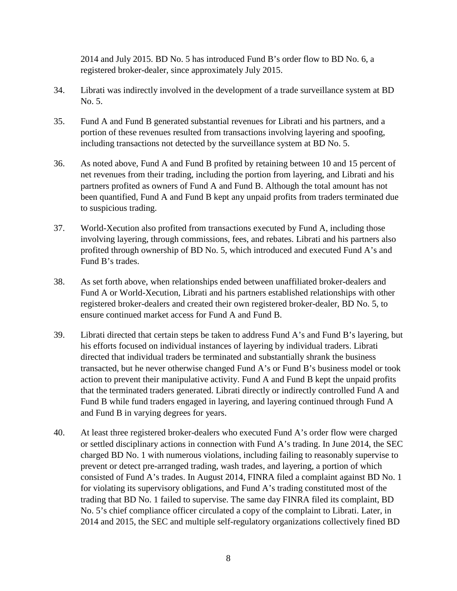2014 and July 2015. BD No. 5 has introduced Fund B's order flow to BD No. 6, a registered broker-dealer, since approximately July 2015.

- 34. Librati was indirectly involved in the development of a trade surveillance system at BD No. 5.
- 35. Fund A and Fund B generated substantial revenues for Librati and his partners, and a portion of these revenues resulted from transactions involving layering and spoofing, including transactions not detected by the surveillance system at BD No. 5.
- 36. As noted above, Fund A and Fund B profited by retaining between 10 and 15 percent of net revenues from their trading, including the portion from layering, and Librati and his partners profited as owners of Fund A and Fund B. Although the total amount has not been quantified, Fund A and Fund B kept any unpaid profits from traders terminated due to suspicious trading.
- 37. World-Xecution also profited from transactions executed by Fund A, including those involving layering, through commissions, fees, and rebates. Librati and his partners also profited through ownership of BD No. 5, which introduced and executed Fund A's and Fund B's trades.
- 38. As set forth above, when relationships ended between unaffiliated broker-dealers and Fund A or World-Xecution, Librati and his partners established relationships with other registered broker-dealers and created their own registered broker-dealer, BD No. 5, to ensure continued market access for Fund A and Fund B.
- 39. Librati directed that certain steps be taken to address Fund A's and Fund B's layering, but his efforts focused on individual instances of layering by individual traders. Librati directed that individual traders be terminated and substantially shrank the business transacted, but he never otherwise changed Fund A's or Fund B's business model or took action to prevent their manipulative activity. Fund A and Fund B kept the unpaid profits that the terminated traders generated. Librati directly or indirectly controlled Fund A and Fund B while fund traders engaged in layering, and layering continued through Fund A and Fund B in varying degrees for years.
- 40. At least three registered broker-dealers who executed Fund A's order flow were charged or settled disciplinary actions in connection with Fund A's trading. In June 2014, the SEC charged BD No. 1 with numerous violations, including failing to reasonably supervise to prevent or detect pre-arranged trading, wash trades, and layering, a portion of which consisted of Fund A's trades. In August 2014, FINRA filed a complaint against BD No. 1 for violating its supervisory obligations, and Fund A's trading constituted most of the trading that BD No. 1 failed to supervise. The same day FINRA filed its complaint, BD No. 5's chief compliance officer circulated a copy of the complaint to Librati. Later, in 2014 and 2015, the SEC and multiple self-regulatory organizations collectively fined BD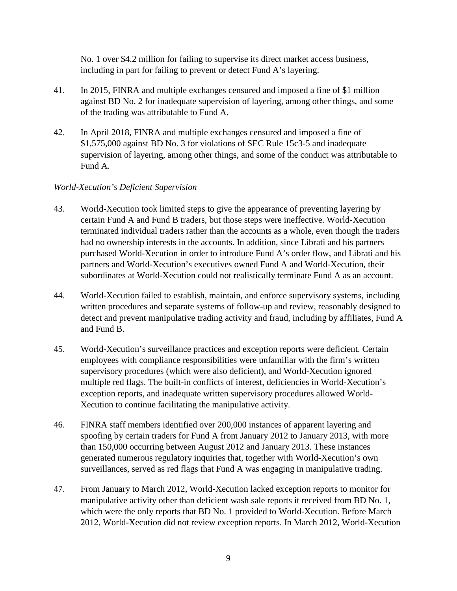No. 1 over \$4.2 million for failing to supervise its direct market access business, including in part for failing to prevent or detect Fund A's layering.

- 41. In 2015, FINRA and multiple exchanges censured and imposed a fine of \$1 million against BD No. 2 for inadequate supervision of layering, among other things, and some of the trading was attributable to Fund A.
- 42. In April 2018, FINRA and multiple exchanges censured and imposed a fine of \$1,575,000 against BD No. 3 for violations of SEC Rule 15c3-5 and inadequate supervision of layering, among other things, and some of the conduct was attributable to Fund A.

## *World-Xecution's Deficient Supervision*

- 43. World-Xecution took limited steps to give the appearance of preventing layering by certain Fund A and Fund B traders, but those steps were ineffective. World-Xecution terminated individual traders rather than the accounts as a whole, even though the traders had no ownership interests in the accounts. In addition, since Librati and his partners purchased World-Xecution in order to introduce Fund A's order flow, and Librati and his partners and World-Xecution's executives owned Fund A and World-Xecution, their subordinates at World-Xecution could not realistically terminate Fund A as an account.
- 44. World-Xecution failed to establish, maintain, and enforce supervisory systems, including written procedures and separate systems of follow-up and review, reasonably designed to detect and prevent manipulative trading activity and fraud, including by affiliates, Fund A and Fund B.
- 45. World-Xecution's surveillance practices and exception reports were deficient. Certain employees with compliance responsibilities were unfamiliar with the firm's written supervisory procedures (which were also deficient), and World-Xecution ignored multiple red flags. The built-in conflicts of interest, deficiencies in World-Xecution's exception reports, and inadequate written supervisory procedures allowed World-Xecution to continue facilitating the manipulative activity.
- 46. FINRA staff members identified over 200,000 instances of apparent layering and spoofing by certain traders for Fund A from January 2012 to January 2013, with more than 150,000 occurring between August 2012 and January 2013. These instances generated numerous regulatory inquiries that, together with World-Xecution's own surveillances, served as red flags that Fund A was engaging in manipulative trading.
- 47. From January to March 2012, World-Xecution lacked exception reports to monitor for manipulative activity other than deficient wash sale reports it received from BD No. 1, which were the only reports that BD No. 1 provided to World-Xecution. Before March 2012, World-Xecution did not review exception reports. In March 2012, World-Xecution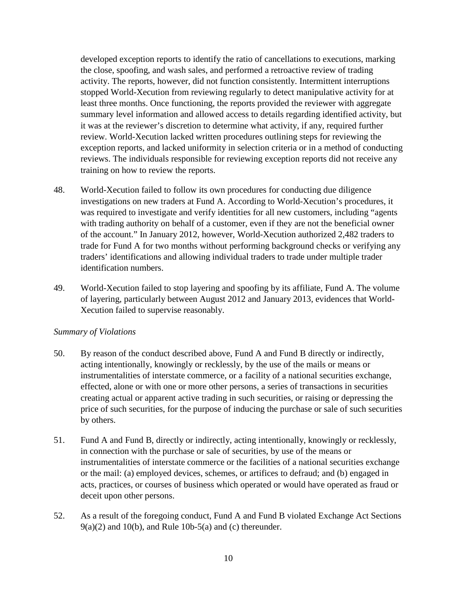developed exception reports to identify the ratio of cancellations to executions, marking the close, spoofing, and wash sales, and performed a retroactive review of trading activity. The reports, however, did not function consistently. Intermittent interruptions stopped World-Xecution from reviewing regularly to detect manipulative activity for at least three months. Once functioning, the reports provided the reviewer with aggregate summary level information and allowed access to details regarding identified activity, but it was at the reviewer's discretion to determine what activity, if any, required further review. World-Xecution lacked written procedures outlining steps for reviewing the exception reports, and lacked uniformity in selection criteria or in a method of conducting reviews. The individuals responsible for reviewing exception reports did not receive any training on how to review the reports.

- 48. World-Xecution failed to follow its own procedures for conducting due diligence investigations on new traders at Fund A. According to World-Xecution's procedures, it was required to investigate and verify identities for all new customers, including "agents with trading authority on behalf of a customer, even if they are not the beneficial owner of the account." In January 2012, however, World-Xecution authorized 2,482 traders to trade for Fund A for two months without performing background checks or verifying any traders' identifications and allowing individual traders to trade under multiple trader identification numbers.
- 49. World-Xecution failed to stop layering and spoofing by its affiliate, Fund A. The volume of layering, particularly between August 2012 and January 2013, evidences that World-Xecution failed to supervise reasonably.

### *Summary of Violations*

- 50. By reason of the conduct described above, Fund A and Fund B directly or indirectly, acting intentionally, knowingly or recklessly, by the use of the mails or means or instrumentalities of interstate commerce, or a facility of a national securities exchange, effected, alone or with one or more other persons, a series of transactions in securities creating actual or apparent active trading in such securities, or raising or depressing the price of such securities, for the purpose of inducing the purchase or sale of such securities by others.
- 51. Fund A and Fund B, directly or indirectly, acting intentionally, knowingly or recklessly, in connection with the purchase or sale of securities, by use of the means or instrumentalities of interstate commerce or the facilities of a national securities exchange or the mail: (a) employed devices, schemes, or artifices to defraud; and (b) engaged in acts, practices, or courses of business which operated or would have operated as fraud or deceit upon other persons.
- 52. As a result of the foregoing conduct, Fund A and Fund B violated Exchange Act Sections  $9(a)(2)$  and  $10(b)$ , and Rule 10b-5(a) and (c) thereunder.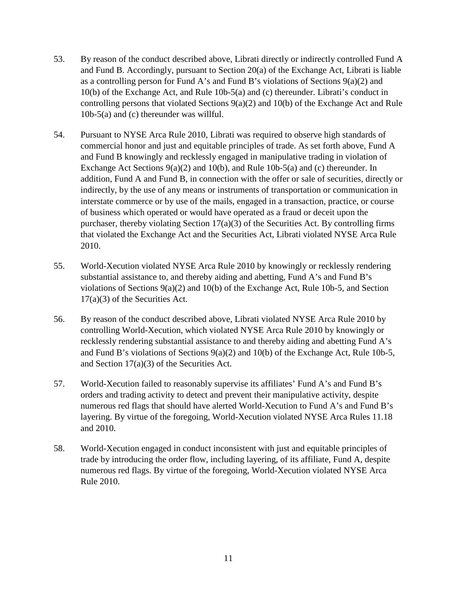- 53. By reason of the conduct described above, Librati directly or indirectly controlled Fund A and Fund B. Accordingly, pursuant to Section 20(a) of the Exchange Act, Librati is liable as a controlling person for Fund A's and Fund B's violations of Sections  $9(a)(2)$  and 10(b) of the Exchange Act, and Rule 10b-5(a) and (c) thereunder. Librati's conduct in controlling persons that violated Sections 9(a)(2) and 10(b) of the Exchange Act and Rule 10b-5(a) and (c) thereunder was willful.
- 54. Pursuant to NYSE Arca Rule 2010, Librati was required to observe high standards of commercial honor and just and equitable principles of trade. As set forth above, Fund A and Fund B knowingly and recklessly engaged in manipulative trading in violation of Exchange Act Sections 9(a)(2) and 10(b), and Rule 10b-5(a) and (c) thereunder. In addition, Fund A and Fund B, in connection with the offer or sale of securities, directly or indirectly, by the use of any means or instruments of transportation or communication in interstate commerce or by use of the mails, engaged in a transaction, practice, or course of business which operated or would have operated as a fraud or deceit upon the purchaser, thereby violating Section  $17(a)(3)$  of the Securities Act. By controlling firms that violated the Exchange Act and the Securities Act, Librati violated NYSE Arca Rule 2010.
- 55. World-Xecution violated NYSE Arca Rule 2010 by knowingly or recklessly rendering substantial assistance to, and thereby aiding and abetting, Fund A's and Fund B's violations of Sections 9(a)(2) and 10(b) of the Exchange Act, Rule 10b-5, and Section 17(a)(3) of the Securities Act.
- 56. By reason of the conduct described above, Librati violated NYSE Arca Rule 2010 by controlling World-Xecution, which violated NYSE Arca Rule 2010 by knowingly or recklessly rendering substantial assistance to and thereby aiding and abetting Fund A's and Fund B's violations of Sections 9(a)(2) and 10(b) of the Exchange Act, Rule 10b-5, and Section 17(a)(3) of the Securities Act.
- 57. World-Xecution failed to reasonably supervise its affiliates' Fund A's and Fund B's orders and trading activity to detect and prevent their manipulative activity, despite numerous red flags that should have alerted World-Xecution to Fund A's and Fund B's layering. By virtue of the foregoing, World-Xecution violated NYSE Arca Rules 11.18 and 2010.
- 58. World-Xecution engaged in conduct inconsistent with just and equitable principles of trade by introducing the order flow, including layering, of its affiliate, Fund A, despite numerous red flags. By virtue of the foregoing, World-Xecution violated NYSE Arca Rule 2010.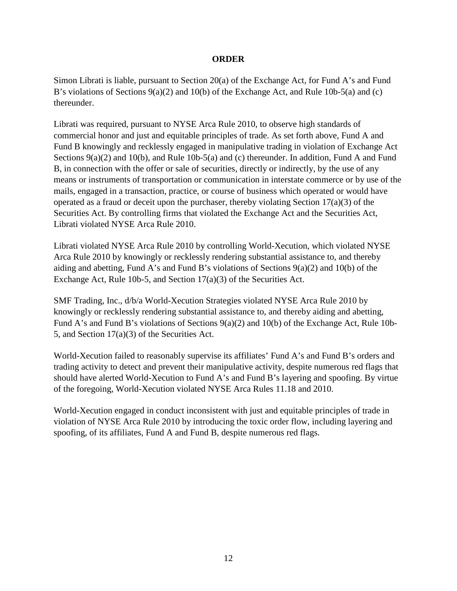### **ORDER**

Simon Librati is liable, pursuant to Section 20(a) of the Exchange Act, for Fund A's and Fund B's violations of Sections 9(a)(2) and 10(b) of the Exchange Act, and Rule 10b-5(a) and (c) thereunder.

Librati was required, pursuant to NYSE Arca Rule 2010, to observe high standards of commercial honor and just and equitable principles of trade. As set forth above, Fund A and Fund B knowingly and recklessly engaged in manipulative trading in violation of Exchange Act Sections 9(a)(2) and 10(b), and Rule 10b-5(a) and (c) thereunder. In addition, Fund A and Fund B, in connection with the offer or sale of securities, directly or indirectly, by the use of any means or instruments of transportation or communication in interstate commerce or by use of the mails, engaged in a transaction, practice, or course of business which operated or would have operated as a fraud or deceit upon the purchaser, thereby violating Section 17(a)(3) of the Securities Act. By controlling firms that violated the Exchange Act and the Securities Act, Librati violated NYSE Arca Rule 2010.

Librati violated NYSE Arca Rule 2010 by controlling World-Xecution, which violated NYSE Arca Rule 2010 by knowingly or recklessly rendering substantial assistance to, and thereby aiding and abetting, Fund A's and Fund B's violations of Sections 9(a)(2) and 10(b) of the Exchange Act, Rule 10b-5, and Section 17(a)(3) of the Securities Act.

SMF Trading, Inc., d/b/a World-Xecution Strategies violated NYSE Arca Rule 2010 by knowingly or recklessly rendering substantial assistance to, and thereby aiding and abetting, Fund A's and Fund B's violations of Sections 9(a)(2) and 10(b) of the Exchange Act, Rule 10b-5, and Section 17(a)(3) of the Securities Act.

World-Xecution failed to reasonably supervise its affiliates' Fund A's and Fund B's orders and trading activity to detect and prevent their manipulative activity, despite numerous red flags that should have alerted World-Xecution to Fund A's and Fund B's layering and spoofing. By virtue of the foregoing, World-Xecution violated NYSE Arca Rules 11.18 and 2010.

World-Xecution engaged in conduct inconsistent with just and equitable principles of trade in violation of NYSE Arca Rule 2010 by introducing the toxic order flow, including layering and spoofing, of its affiliates, Fund A and Fund B, despite numerous red flags.